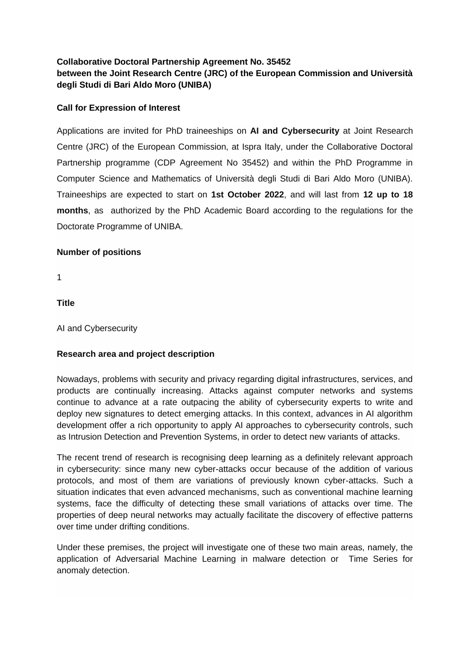# **Collaborative Doctoral Partnership Agreement No. 35452 between the Joint Research Centre (JRC) of the European Commission and Università degli Studi di Bari Aldo Moro (UNIBA)**

### **Call for Expression of Interest**

Applications are invited for PhD traineeships on **AI and Cybersecurity** at Joint Research Centre (JRC) of the European Commission, at Ispra Italy, under the Collaborative Doctoral Partnership programme (CDP Agreement No 35452) and within the PhD Programme in Computer Science and Mathematics of Università degli Studi di Bari Aldo Moro (UNIBA). Traineeships are expected to start on **1st October 2022**, and will last from **12 up to 18 months**, as authorized by the PhD Academic Board according to the regulations for the Doctorate Programme of UNIBA.

### **Number of positions**

1

**Title**

AI and Cybersecurity

### **Research area and project description**

Nowadays, problems with security and privacy regarding digital infrastructures, services, and products are continually increasing. Attacks against computer networks and systems continue to advance at a rate outpacing the ability of cybersecurity experts to write and deploy new signatures to detect emerging attacks. In this context, advances in AI algorithm development offer a rich opportunity to apply AI approaches to cybersecurity controls, such as Intrusion Detection and Prevention Systems, in order to detect new variants of attacks.

The recent trend of research is recognising deep learning as a definitely relevant approach in cybersecurity: since many new cyber-attacks occur because of the addition of various protocols, and most of them are variations of previously known cyber-attacks. Such a situation indicates that even advanced mechanisms, such as conventional machine learning systems, face the difficulty of detecting these small variations of attacks over time. The properties of deep neural networks may actually facilitate the discovery of effective patterns over time under drifting conditions.

Under these premises, the project will investigate one of these two main areas, namely, the application of Adversarial Machine Learning in malware detection or Time Series for anomaly detection.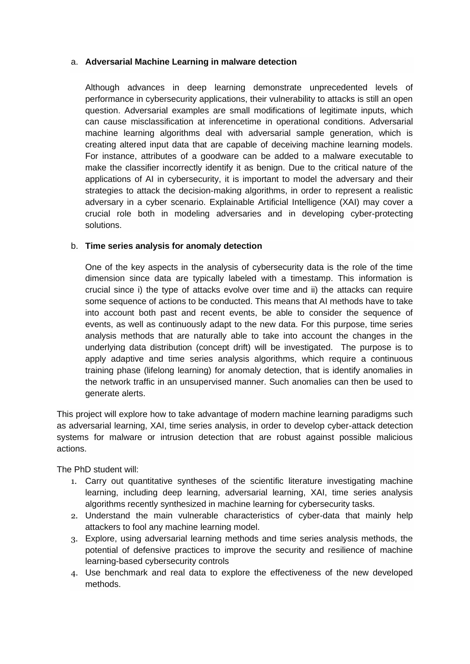### a. **Adversarial Machine Learning in malware detection**

Although advances in deep learning demonstrate unprecedented levels of performance in cybersecurity applications, their vulnerability to attacks is still an open question. Adversarial examples are small modifications of legitimate inputs, which can cause misclassification at inferencetime in operational conditions. Adversarial machine learning algorithms deal with adversarial sample generation, which is creating altered input data that are capable of deceiving machine learning models. For instance, attributes of a goodware can be added to a malware executable to make the classifier incorrectly identify it as benign. Due to the critical nature of the applications of AI in cybersecurity, it is important to model the adversary and their strategies to attack the decision-making algorithms, in order to represent a realistic adversary in a cyber scenario. Explainable Artificial Intelligence (XAI) may cover a crucial role both in modeling adversaries and in developing cyber-protecting solutions.

### b. **Time series analysis for anomaly detection**

One of the key aspects in the analysis of cybersecurity data is the role of the time dimension since data are typically labeled with a timestamp. This information is crucial since i) the type of attacks evolve over time and ii) the attacks can require some sequence of actions to be conducted. This means that AI methods have to take into account both past and recent events, be able to consider the sequence of events, as well as continuously adapt to the new data. For this purpose, time series analysis methods that are naturally able to take into account the changes in the underlying data distribution (concept drift) will be investigated. The purpose is to apply adaptive and time series analysis algorithms, which require a continuous training phase (lifelong learning) for anomaly detection, that is identify anomalies in the network traffic in an unsupervised manner. Such anomalies can then be used to generate alerts.

This project will explore how to take advantage of modern machine learning paradigms such as adversarial learning, XAI, time series analysis, in order to develop cyber-attack detection systems for malware or intrusion detection that are robust against possible malicious actions.

The PhD student will:

- 1. Carry out quantitative syntheses of the scientific literature investigating machine learning, including deep learning, adversarial learning, XAI, time series analysis algorithms recently synthesized in machine learning for cybersecurity tasks.
- 2. Understand the main vulnerable characteristics of cyber-data that mainly help attackers to fool any machine learning model.
- 3. Explore, using adversarial learning methods and time series analysis methods, the potential of defensive practices to improve the security and resilience of machine learning-based cybersecurity controls
- 4. Use benchmark and real data to explore the effectiveness of the new developed methods.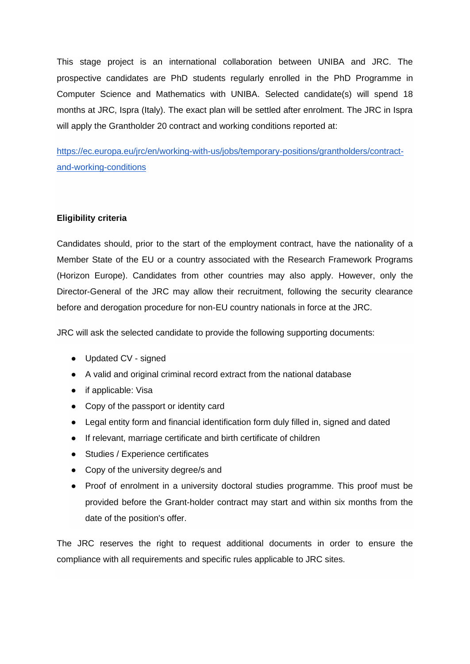This stage project is an international collaboration between UNIBA and JRC. The prospective candidates are PhD students regularly enrolled in the PhD Programme in Computer Science and Mathematics with UNIBA. Selected candidate(s) will spend 18 months at JRC, Ispra (Italy). The exact plan will be settled after enrolment. The JRC in Ispra will apply the Grantholder 20 contract and working conditions reported at:

[https://ec.europa.eu/jrc/en/working-with-us/jobs/temporary-positions/grantholders/contract](https://ec.europa.eu/jrc/en/working-with-us/jobs/temporary-positions/grantholders/contract-and-working-conditions)[and-working-conditions](https://ec.europa.eu/jrc/en/working-with-us/jobs/temporary-positions/grantholders/contract-and-working-conditions)

## **Eligibility criteria**

Candidates should, prior to the start of the employment contract, have the nationality of a Member State of the EU or a country associated with the Research Framework Programs (Horizon Europe). Candidates from other countries may also apply. However, only the Director-General of the JRC may allow their recruitment, following the security clearance before and derogation procedure for non-EU country nationals in force at the JRC.

JRC will ask the selected candidate to provide the following supporting documents:

- Updated CV signed
- A valid and original criminal record extract from the national database
- if applicable: Visa
- Copy of the passport or identity card
- Legal entity form and financial identification form duly filled in, signed and dated
- If relevant, marriage certificate and birth certificate of children
- Studies / Experience certificates
- Copy of the university degree/s and
- Proof of enrolment in a university doctoral studies programme. This proof must be provided before the Grant-holder contract may start and within six months from the date of the position's offer.

The JRC reserves the right to request additional documents in order to ensure the compliance with all requirements and specific rules applicable to JRC sites.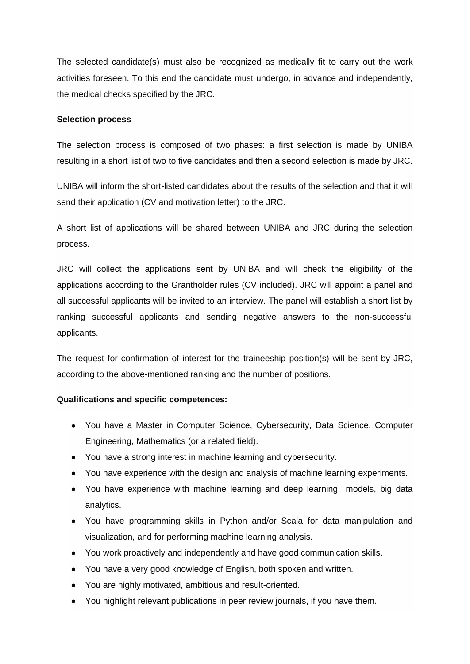The selected candidate(s) must also be recognized as medically fit to carry out the work activities foreseen. To this end the candidate must undergo, in advance and independently, the medical checks specified by the JRC.

#### **Selection process**

The selection process is composed of two phases: a first selection is made by UNIBA resulting in a short list of two to five candidates and then a second selection is made by JRC.

UNIBA will inform the short-listed candidates about the results of the selection and that it will send their application (CV and motivation letter) to the JRC.

A short list of applications will be shared between UNIBA and JRC during the selection process.

JRC will collect the applications sent by UNIBA and will check the eligibility of the applications according to the Grantholder rules (CV included). JRC will appoint a panel and all successful applicants will be invited to an interview. The panel will establish a short list by ranking successful applicants and sending negative answers to the non-successful applicants.

The request for confirmation of interest for the traineeship position(s) will be sent by JRC, according to the above-mentioned ranking and the number of positions.

### **Qualifications and specific competences:**

- You have a Master in Computer Science, Cybersecurity, Data Science, Computer Engineering, Mathematics (or a related field).
- You have a strong interest in machine learning and cybersecurity.
- You have experience with the design and analysis of machine learning experiments.
- You have experience with machine learning and deep learning models, big data analytics.
- You have programming skills in Python and/or Scala for data manipulation and visualization, and for performing machine learning analysis.
- You work proactively and independently and have good communication skills.
- You have a very good knowledge of English, both spoken and written.
- You are highly motivated, ambitious and result-oriented.
- You highlight relevant publications in peer review journals, if you have them.